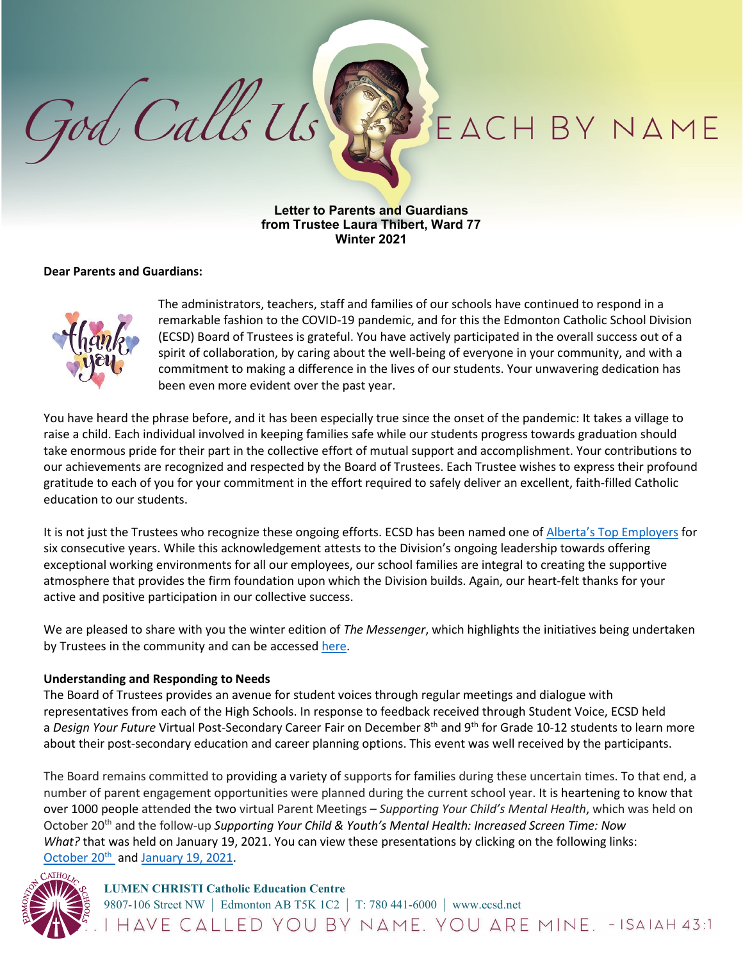# EACH BY NAME

**Letter to Parents and Guardians from Trustee Laura Thibert, Ward 77 Winter 2021**

## **Dear Parents and Guardians:**

God Calls Us



The administrators, teachers, staff and families of our schools have continued to respond in a remarkable fashion to the COVID-19 pandemic, and for this the Edmonton Catholic School Division (ECSD) Board of Trustees is grateful. You have actively participated in the overall success out of a spirit of collaboration, by caring about the well-being of everyone in your community, and with a commitment to making a difference in the lives of our students. Your unwavering dedication has been even more evident over the past year.

You have heard the phrase before, and it has been especially true since the onset of the pandemic: It takes a village to raise a child. Each individual involved in keeping families safe while our students progress towards graduation should take enormous pride for their part in the collective effort of mutual support and accomplishment. Your contributions to our achievements are recognized and respected by the Board of Trustees. Each Trustee wishes to express their profound gratitude to each of you for your commitment in the effort required to safely deliver an excellent, faith-filled Catholic education to our students.

It is not just the Trustees who recognize these ongoing efforts. ECSD has been named one of Alberta's Top [Employers](https://www.ecsd.net/page/14408/alberta-top-70-employers) for six consecutive years. While this acknowledgement attests to the Division's ongoing leadership towards offering exceptional working environments for all our employees, our school families are integral to creating the supportive atmosphere that provides the firm foundation upon which the Division builds. Again, our heart-felt thanks for your active and positive participation in our collective success.

We are pleased to share with you the winter edition of *The Messenger*, which highlights the initiatives being undertaken by Trustees in the community and can be accessed [here.](https://can01.safelinks.protection.outlook.com/?url=https%3A%2F%2Fwww.ecsd.net%2Fpage%2F15399%2Fthe-messenger-february-2021&data=04%7C01%7CMichelle.Collett%40ecsd.net%7C32a42143e2d040d9ab7408d8d8304918%7Cb18d9f6f0743460da19b0b3297eeeb89%7C0%7C0%7C637497049175786887%7CUnknown%7CTWFpbGZsb3d8eyJWIjoiMC4wLjAwMDAiLCJQIjoiV2luMzIiLCJBTiI6Ik1haWwiLCJXVCI6Mn0%3D%7C1000&sdata=1rtuCBbVk0I7xPoK8k2V8%2BA5FxoKxrKWYLD1OYo%2BN%2Fg%3D&reserved=0)

#### **Understanding and Responding to Needs**

The Board of Trustees provides an avenue for student voices through regular meetings and dialogue with representatives from each of the High Schools. In response to feedback received through Student Voice, ECSD held a *Design Your Future* Virtual Post-Secondary Career Fair on December 8<sup>th</sup> and 9<sup>th</sup> for Grade 10-12 students to learn more about their post-secondary education and career planning options. This event was well received by the participants.

The Board remains committed to providing a variety of supports for families during these uncertain times. To that end, a number of parent engagement opportunities were planned during the current school year. It is heartening to know that over 1000 people attended the two virtual Parent Meetings – *Supporting Your Child's Mental Health*, which was held on October 20th and the follow-up *Supporting Your Child & Youth's Mental Health: Increased Screen Time: Now What?* that was held on January 19, 2021. You can view these presentations by clicking on the following links: [October](https://www.youtube.com/watch?v=4_gButnd-wg&feature=youtu.be)  $20^{th}$  and [January](https://can01.safelinks.protection.outlook.com/?url=https://youtu.be/Si2ac08Amw4&data=04%7c01%7cMatthew.Morris%40ecsd.net%7c5c0a19b6602743935c0708d8bd576509%7cb18d9f6f0743460da19b0b3297eeeb89%7c0%7c0%7c637467530349577816%7cUnknown%7cTWFpbGZsb3d8eyJWIjoiMC4wLjAwMDAiLCJQIjoiV2luMzIiLCJBTiI6Ik1haWwiLCJXVCI6Mn0%3D%7c1000&sdata=I7%2BvrKJ4C4xcli%2Bs7MorHC8mR46YnWjJsBf56sW6A8c%3D&reserved=0) 19, 2021.



# **LUMEN CHRISTI Catholic Education Centre**

9807-106 Street NW | Edmonton AB T5K 1C2 | T: 780 441-6000 | www.ecsd.net<br>|  $H\Delta VE$   $C\Delta LLED$   $YOU$   $BY$   $N\Delta ME$ .  $YOU$   $\Delta RE$   $MINE$ . - ISA IAH 43:1